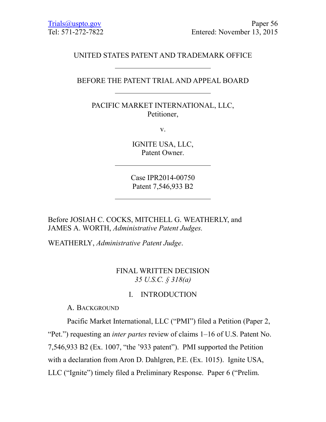# UNITED STATES PATENT AND TRADEMARK OFFICE

### BEFORE THE PATENT TRIAL AND APPEAL BOARD

PACIFIC MARKET INTERNATIONAL, LLC, Petitioner,

v.

IGNITE USA, LLC, Patent Owner.

Case IPR2014-00750 Patent 7,546,933 B2

Before JOSIAH C. COCKS, MITCHELL G. WEATHERLY, and JAMES A. WORTH, *Administrative Patent Judges.*

WEATHERLY, *Administrative Patent Judge*.

# FINAL WRITTEN DECISION *35 U.S.C. § 318(a)*

#### I. INTRODUCTION

A. BACKGROUND

Pacific Market International, LLC ("PMI") filed a Petition (Paper 2, "Pet.") requesting an *inter partes* review of claims 1–16 of U.S. Patent No. 7,546,933 B2 (Ex. 1007, "the '933 patent"). PMI supported the Petition with a declaration from Aron D. Dahlgren, P.E. (Ex. 1015). Ignite USA, LLC ("Ignite") timely filed a Preliminary Response. Paper 6 ("Prelim.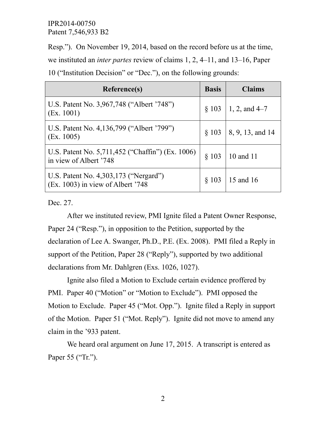Resp."). On November 19, 2014, based on the record before us at the time,

we instituted an *inter partes* review of claims 1, 2, 4–11, and 13–16, Paper

10 ("Institution Decision" or "Dec."), on the following grounds:

| Reference(s)                                                                 | <b>Basis</b> | <b>Claims</b>    |
|------------------------------------------------------------------------------|--------------|------------------|
| U.S. Patent No. 3,967,748 ("Albert '748")<br>(Ex. 1001)                      | $§$ 103      | 1, 2, and $4-7$  |
| U.S. Patent No. 4,136,799 ("Albert '799")<br>(Ex. 1005)                      | § 103        | 8, 9, 13, and 14 |
| U.S. Patent No. 5,711,452 ("Chaffin") (Ex. 1006)<br>in view of Albert '748   | \$103        | 10 and 11        |
| U.S. Patent No. 4,303,173 ("Nergard")<br>$(Ex. 1003)$ in view of Albert '748 | $\S$ 103     | 15 and 16        |

Dec. 27.

After we instituted review, PMI Ignite filed a Patent Owner Response, Paper 24 ("Resp."), in opposition to the Petition, supported by the declaration of Lee A. Swanger, Ph.D., P.E. (Ex. 2008). PMI filed a Reply in support of the Petition, Paper 28 ("Reply"), supported by two additional declarations from Mr. Dahlgren (Exs. 1026, 1027).

Ignite also filed a Motion to Exclude certain evidence proffered by PMI. Paper 40 ("Motion" or "Motion to Exclude"). PMI opposed the Motion to Exclude. Paper 45 ("Mot. Opp."). Ignite filed a Reply in support of the Motion. Paper 51 ("Mot. Reply"). Ignite did not move to amend any claim in the '933 patent.

We heard oral argument on June 17, 2015. A transcript is entered as Paper 55 ("Tr.").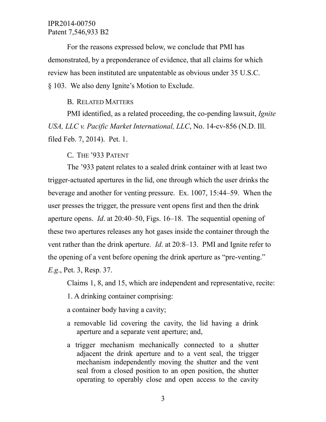For the reasons expressed below, we conclude that PMI has demonstrated, by a preponderance of evidence, that all claims for which review has been instituted are unpatentable as obvious under 35 U.S.C. § 103. We also deny Ignite's Motion to Exclude.

#### B. RELATED MATTERS

PMI identified, as a related proceeding, the co-pending lawsuit, *Ignite USA, LLC v. Pacific Market International, LLC*, No. 14-cv-856 (N.D. Ill. filed Feb. 7, 2014). Pet. 1.

C. THE '933 PATENT

The '933 patent relates to a sealed drink container with at least two trigger-actuated apertures in the lid, one through which the user drinks the beverage and another for venting pressure. Ex. 1007, 15:44–59. When the user presses the trigger, the pressure vent opens first and then the drink aperture opens. *Id*. at 20:40–50, Figs. 16–18. The sequential opening of these two apertures releases any hot gases inside the container through the vent rather than the drink aperture. *Id*. at 20:8–13. PMI and Ignite refer to the opening of a vent before opening the drink aperture as "pre-venting." *E.g*., Pet. 3, Resp. 37.

Claims 1, 8, and 15, which are independent and representative, recite:

1. A drinking container comprising:

a container body having a cavity;

- a removable lid covering the cavity, the lid having a drink aperture and a separate vent aperture; and,
- a trigger mechanism mechanically connected to a shutter adjacent the drink aperture and to a vent seal, the trigger mechanism independently moving the shutter and the vent seal from a closed position to an open position, the shutter operating to operably close and open access to the cavity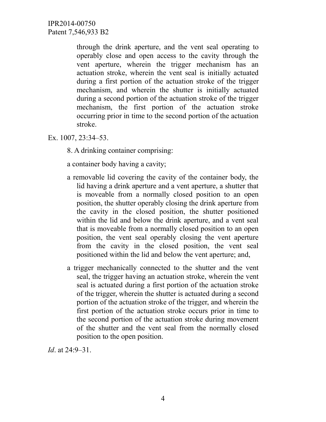> through the drink aperture, and the vent seal operating to operably close and open access to the cavity through the vent aperture, wherein the trigger mechanism has an actuation stroke, wherein the vent seal is initially actuated during a first portion of the actuation stroke of the trigger mechanism, and wherein the shutter is initially actuated during a second portion of the actuation stroke of the trigger mechanism, the first portion of the actuation stroke occurring prior in time to the second portion of the actuation stroke.

Ex. 1007, 23:34–53.

8. A drinking container comprising:

a container body having a cavity;

- a removable lid covering the cavity of the container body, the lid having a drink aperture and a vent aperture, a shutter that is moveable from a normally closed position to an open position, the shutter operably closing the drink aperture from the cavity in the closed position, the shutter positioned within the lid and below the drink aperture, and a vent seal that is moveable from a normally closed position to an open position, the vent seal operably closing the vent aperture from the cavity in the closed position, the vent seal positioned within the lid and below the vent aperture; and,
- a trigger mechanically connected to the shutter and the vent seal, the trigger having an actuation stroke, wherein the vent seal is actuated during a first portion of the actuation stroke of the trigger, wherein the shutter is actuated during a second portion of the actuation stroke of the trigger, and wherein the first portion of the actuation stroke occurs prior in time to the second portion of the actuation stroke during movement of the shutter and the vent seal from the normally closed position to the open position.

*Id*. at 24:9–31.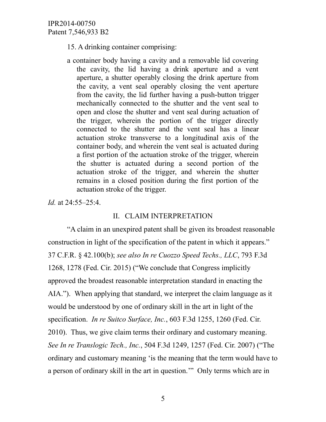15. A drinking container comprising:

a container body having a cavity and a removable lid covering the cavity, the lid having a drink aperture and a vent aperture, a shutter operably closing the drink aperture from the cavity, a vent seal operably closing the vent aperture from the cavity, the lid further having a push-button trigger mechanically connected to the shutter and the vent seal to open and close the shutter and vent seal during actuation of the trigger, wherein the portion of the trigger directly connected to the shutter and the vent seal has a linear actuation stroke transverse to a longitudinal axis of the container body, and wherein the vent seal is actuated during a first portion of the actuation stroke of the trigger, wherein the shutter is actuated during a second portion of the actuation stroke of the trigger, and wherein the shutter remains in a closed position during the first portion of the actuation stroke of the trigger.

*Id.* at 24:55–25:4.

# II. CLAIM INTERPRETATION

"A claim in an unexpired patent shall be given its broadest reasonable construction in light of the specification of the patent in which it appears." 37 C.F.R. § 42.100(b); *see also In re Cuozzo Speed Techs., LLC*, 793 F.3d 1268, 1278 (Fed. Cir. 2015) ("We conclude that Congress implicitly approved the broadest reasonable interpretation standard in enacting the AIA."). When applying that standard, we interpret the claim language as it would be understood by one of ordinary skill in the art in light of the specification. *In re Suitco Surface, Inc.*, 603 F.3d 1255, 1260 (Fed. Cir. 2010). Thus, we give claim terms their ordinary and customary meaning. *See In re Translogic Tech., Inc.*, 504 F.3d 1249, 1257 (Fed. Cir. 2007) ("The ordinary and customary meaning 'is the meaning that the term would have to a person of ordinary skill in the art in question.'" Only terms which are in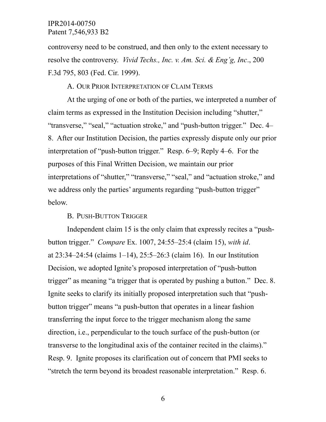controversy need to be construed, and then only to the extent necessary to resolve the controversy. *Vivid Techs., Inc. v. Am. Sci. & Eng'g, Inc*., 200 F.3d 795, 803 (Fed. Cir. 1999).

# A. OUR PRIOR INTERPRETATION OF CLAIM TERMS

At the urging of one or both of the parties, we interpreted a number of claim terms as expressed in the Institution Decision including "shutter," "transverse," "seal," "actuation stroke," and "push-button trigger." Dec. 4– 8. After our Institution Decision, the parties expressly dispute only our prior interpretation of "push-button trigger." Resp. 6–9; Reply 4–6. For the purposes of this Final Written Decision, we maintain our prior interpretations of "shutter," "transverse," "seal," and "actuation stroke," and we address only the parties' arguments regarding "push-button trigger" below.

### B. PUSH-BUTTON TRIGGER

Independent claim 15 is the only claim that expressly recites a "pushbutton trigger." *Compare* Ex. 1007, 24:55–25:4 (claim 15), *with id*. at 23:34–24:54 (claims 1–14), 25:5–26:3 (claim 16). In our Institution Decision, we adopted Ignite's proposed interpretation of "push-button trigger" as meaning "a trigger that is operated by pushing a button." Dec. 8. Ignite seeks to clarify its initially proposed interpretation such that "pushbutton trigger" means "a push-button that operates in a linear fashion transferring the input force to the trigger mechanism along the same direction, i.e., perpendicular to the touch surface of the push-button (or transverse to the longitudinal axis of the container recited in the claims)." Resp. 9. Ignite proposes its clarification out of concern that PMI seeks to "stretch the term beyond its broadest reasonable interpretation." Resp. 6.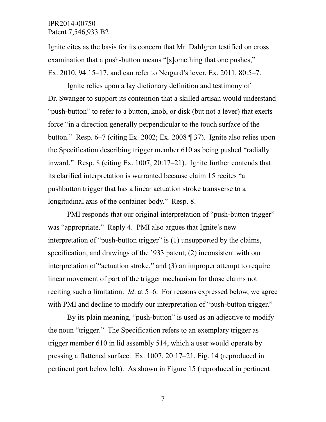Ignite cites as the basis for its concern that Mr. Dahlgren testified on cross examination that a push-button means "[s]omething that one pushes," Ex. 2010, 94:15–17, and can refer to Nergard's lever, Ex. 2011, 80:5–7.

Ignite relies upon a lay dictionary definition and testimony of Dr. Swanger to support its contention that a skilled artisan would understand "push-button" to refer to a button, knob, or disk (but not a lever) that exerts force "in a direction generally perpendicular to the touch surface of the button." Resp. 6–7 (citing Ex. 2002; Ex. 2008 ¶ 37). Ignite also relies upon the Specification describing trigger member 610 as being pushed "radially inward." Resp. 8 (citing Ex. 1007, 20:17–21). Ignite further contends that its clarified interpretation is warranted because claim 15 recites "a pushbutton trigger that has a linear actuation stroke transverse to a longitudinal axis of the container body." Resp. 8.

PMI responds that our original interpretation of "push-button trigger" was "appropriate." Reply 4. PMI also argues that Ignite's new interpretation of "push-button trigger" is (1) unsupported by the claims, specification, and drawings of the '933 patent, (2) inconsistent with our interpretation of "actuation stroke," and (3) an improper attempt to require linear movement of part of the trigger mechanism for those claims not reciting such a limitation. *Id*. at 5–6. For reasons expressed below, we agree with PMI and decline to modify our interpretation of "push-button trigger."

By its plain meaning, "push-button" is used as an adjective to modify the noun "trigger." The Specification refers to an exemplary trigger as trigger member 610 in lid assembly 514, which a user would operate by pressing a flattened surface. Ex. 1007, 20:17–21, Fig. 14 (reproduced in pertinent part below left). As shown in Figure 15 (reproduced in pertinent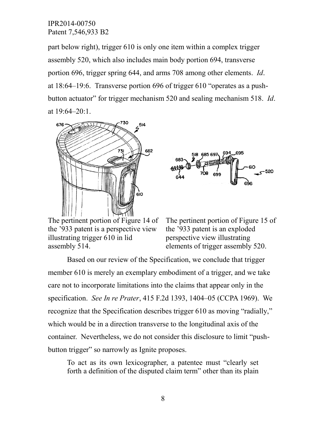part below right), trigger 610 is only one item within a complex trigger assembly 520, which also includes main body portion 694, transverse portion 696, trigger spring 644, and arms 708 among other elements. *Id*. at 18:64–19:6. Transverse portion 696 of trigger 610 "operates as a pushbutton actuator" for trigger mechanism 520 and sealing mechanism 518. *Id*. at 19:64–20:1.





The pertinent portion of Figure 14 of the '933 patent is a perspective view illustrating trigger 610 in lid assembly 514.

The pertinent portion of Figure 15 of the '933 patent is an exploded perspective view illustrating elements of trigger assembly 520.

Based on our review of the Specification, we conclude that trigger member 610 is merely an exemplary embodiment of a trigger, and we take care not to incorporate limitations into the claims that appear only in the specification. *See In re Prater*, 415 F.2d 1393, 1404–05 (CCPA 1969). We recognize that the Specification describes trigger 610 as moving "radially," which would be in a direction transverse to the longitudinal axis of the container. Nevertheless, we do not consider this disclosure to limit "pushbutton trigger" so narrowly as Ignite proposes.

To act as its own lexicographer, a patentee must "clearly set forth a definition of the disputed claim term" other than its plain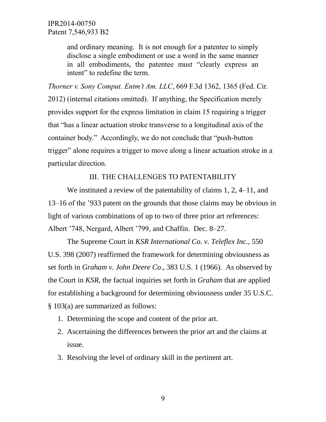and ordinary meaning. It is not enough for a patentee to simply disclose a single embodiment or use a word in the same manner in all embodiments, the patentee must "clearly express an intent" to redefine the term.

*Thorner v. Sony Comput. Entm't Am. LLC*, 669 F.3d 1362, 1365 (Fed. Cir. 2012) (internal citations omitted). If anything, the Specification merely provides support for the express limitation in claim 15 requiring a trigger that "has a linear actuation stroke transverse to a longitudinal axis of the container body." Accordingly, we do not conclude that "push-button trigger" alone requires a trigger to move along a linear actuation stroke in a particular direction.

# III. THE CHALLENGES TO PATENTABILITY

We instituted a review of the patentability of claims 1, 2, 4–11, and 13–16 of the '933 patent on the grounds that those claims may be obvious in light of various combinations of up to two of three prior art references: Albert '748, Nergard, Albert '799, and Chaffin. Dec. 8–27.

The Supreme Court in *KSR International Co. v. Teleflex Inc.*, 550 U.S. 398 (2007) reaffirmed the framework for determining obviousness as set forth in *Graham v. John Deere Co*., 383 U.S. 1 (1966). As observed by the Court in *KSR*, the factual inquiries set forth in *Graham* that are applied for establishing a background for determining obviousness under 35 U.S.C. § 103(a) are summarized as follows:

- 1. Determining the scope and content of the prior art.
- 2. Ascertaining the differences between the prior art and the claims at issue.
- 3. Resolving the level of ordinary skill in the pertinent art.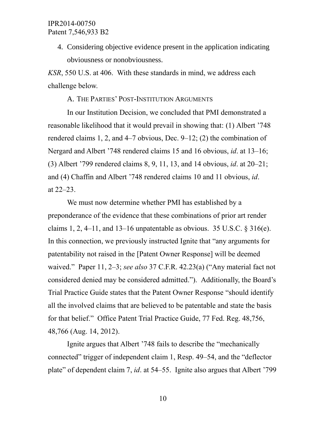4. Considering objective evidence present in the application indicating obviousness or nonobviousness.

*KSR*, 550 U.S. at 406. With these standards in mind, we address each challenge below.

A. THE PARTIES' POST-INSTITUTION ARGUMENTS

In our Institution Decision, we concluded that PMI demonstrated a reasonable likelihood that it would prevail in showing that: (1) Albert '748 rendered claims 1, 2, and 4–7 obvious, Dec. 9–12; (2) the combination of Nergard and Albert '748 rendered claims 15 and 16 obvious, *id*. at 13–16; (3) Albert '799 rendered claims 8, 9, 11, 13, and 14 obvious, *id*. at 20–21; and (4) Chaffin and Albert '748 rendered claims 10 and 11 obvious, *id*. at 22–23.

We must now determine whether PMI has established by a preponderance of the evidence that these combinations of prior art render claims 1, 2, 4–11, and 13–16 unpatentable as obvious. 35 U.S.C.  $\S 316(e)$ . In this connection, we previously instructed Ignite that "any arguments for patentability not raised in the [Patent Owner Response] will be deemed waived." Paper 11, 2–3; *see also* 37 C.F.R. 42.23(a) ("Any material fact not considered denied may be considered admitted."). Additionally, the Board's Trial Practice Guide states that the Patent Owner Response "should identify all the involved claims that are believed to be patentable and state the basis for that belief." Office Patent Trial Practice Guide, 77 Fed. Reg. 48,756, 48,766 (Aug. 14, 2012).

Ignite argues that Albert '748 fails to describe the "mechanically connected" trigger of independent claim 1, Resp. 49–54, and the "deflector plate" of dependent claim 7, *id*. at 54–55. Ignite also argues that Albert '799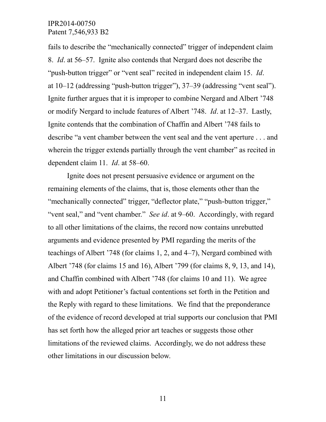fails to describe the "mechanically connected" trigger of independent claim 8. *Id*. at 56–57. Ignite also contends that Nergard does not describe the "push-button trigger" or "vent seal" recited in independent claim 15. *Id*. at 10–12 (addressing "push-button trigger"), 37–39 (addressing "vent seal"). Ignite further argues that it is improper to combine Nergard and Albert '748 or modify Nergard to include features of Albert '748. *Id*. at 12–37. Lastly, Ignite contends that the combination of Chaffin and Albert '748 fails to describe "a vent chamber between the vent seal and the vent aperture . . . and wherein the trigger extends partially through the vent chamber" as recited in dependent claim 11. *Id*. at 58–60.

Ignite does not present persuasive evidence or argument on the remaining elements of the claims, that is, those elements other than the "mechanically connected" trigger, "deflector plate," "push-button trigger," "vent seal," and "vent chamber." *See id*. at 9–60. Accordingly, with regard to all other limitations of the claims, the record now contains unrebutted arguments and evidence presented by PMI regarding the merits of the teachings of Albert '748 (for claims 1, 2, and 4–7), Nergard combined with Albert '748 (for claims 15 and 16), Albert '799 (for claims 8, 9, 13, and 14), and Chaffin combined with Albert '748 (for claims 10 and 11). We agree with and adopt Petitioner's factual contentions set forth in the Petition and the Reply with regard to these limitations. We find that the preponderance of the evidence of record developed at trial supports our conclusion that PMI has set forth how the alleged prior art teaches or suggests those other limitations of the reviewed claims. Accordingly, we do not address these other limitations in our discussion below.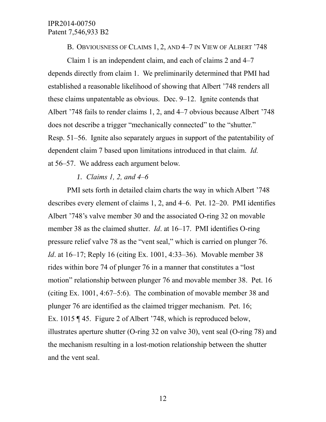B. OBVIOUSNESS OF CLAIMS 1, 2, AND 4–7 IN VIEW OF ALBERT '748

Claim 1 is an independent claim, and each of claims 2 and 4–7 depends directly from claim 1. We preliminarily determined that PMI had established a reasonable likelihood of showing that Albert '748 renders all these claims unpatentable as obvious. Dec. 9–12. Ignite contends that Albert '748 fails to render claims 1, 2, and 4–7 obvious because Albert '748 does not describe a trigger "mechanically connected" to the "shutter." Resp. 51–56. Ignite also separately argues in support of the patentability of dependent claim 7 based upon limitations introduced in that claim. *Id.* at 56–57. We address each argument below.

#### *1. Claims 1, 2, and 4–6*

PMI sets forth in detailed claim charts the way in which Albert '748 describes every element of claims 1, 2, and 4–6. Pet. 12–20. PMI identifies Albert '748's valve member 30 and the associated O-ring 32 on movable member 38 as the claimed shutter. *Id*. at 16–17. PMI identifies O-ring pressure relief valve 78 as the "vent seal," which is carried on plunger 76. *Id*. at 16–17; Reply 16 (citing Ex. 1001, 4:33–36). Movable member 38 rides within bore 74 of plunger 76 in a manner that constitutes a "lost motion" relationship between plunger 76 and movable member 38. Pet. 16 (citing Ex. 1001, 4:67–5:6). The combination of movable member 38 and plunger 76 are identified as the claimed trigger mechanism. Pet. 16; Ex. 1015 ¶ 45. Figure 2 of Albert '748, which is reproduced below, illustrates aperture shutter (O-ring 32 on valve 30), vent seal (O-ring 78) and the mechanism resulting in a lost-motion relationship between the shutter and the vent seal.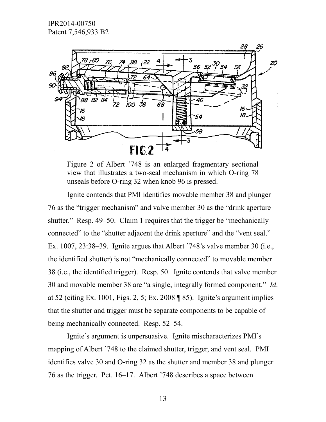

Figure 2 of Albert '748 is an enlarged fragmentary sectional view that illustrates a two-seal mechanism in which O-ring 78 unseals before O-ring 32 when knob 96 is pressed.

Ignite contends that PMI identifies movable member 38 and plunger 76 as the "trigger mechanism" and valve member 30 as the "drink aperture shutter." Resp. 49–50. Claim 1 requires that the trigger be "mechanically connected" to the "shutter adjacent the drink aperture" and the "vent seal." Ex. 1007, 23:38–39. Ignite argues that Albert '748's valve member 30 (i.e., the identified shutter) is not "mechanically connected" to movable member 38 (i.e., the identified trigger). Resp. 50. Ignite contends that valve member 30 and movable member 38 are "a single, integrally formed component." *Id*. at 52 (citing Ex. 1001, Figs. 2, 5; Ex. 2008 ¶ 85). Ignite's argument implies that the shutter and trigger must be separate components to be capable of being mechanically connected. Resp. 52–54.

Ignite's argument is unpersuasive. Ignite mischaracterizes PMI's mapping of Albert '748 to the claimed shutter, trigger, and vent seal. PMI identifies valve 30 and O-ring 32 as the shutter and member 38 and plunger 76 as the trigger. Pet. 16–17. Albert '748 describes a space between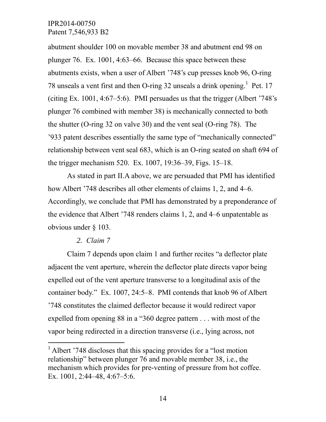abutment shoulder 100 on movable member 38 and abutment end 98 on plunger 76. Ex. 1001, 4:63–66. Because this space between these abutments exists, when a user of Albert '748's cup presses knob 96, O-ring 78 unseals a vent first and then O-ring 32 unseals a drink opening.<sup>1</sup> Pet. 17 (citing Ex. 1001, 4:67–5:6). PMI persuades us that the trigger (Albert '748's plunger 76 combined with member 38) is mechanically connected to both the shutter (O-ring 32 on valve 30) and the vent seal (O-ring 78). The '933 patent describes essentially the same type of "mechanically connected" relationship between vent seal 683, which is an O-ring seated on shaft 694 of the trigger mechanism 520. Ex. 1007, 19:36–39, Figs. 15–18.

As stated in part II.A above, we are persuaded that PMI has identified how Albert '748 describes all other elements of claims 1, 2, and 4–6. Accordingly, we conclude that PMI has demonstrated by a preponderance of the evidence that Albert '748 renders claims 1, 2, and 4–6 unpatentable as obvious under § 103.

#### *2. Claim 7*

 $\overline{a}$ 

Claim 7 depends upon claim 1 and further recites "a deflector plate adjacent the vent aperture, wherein the deflector plate directs vapor being expelled out of the vent aperture transverse to a longitudinal axis of the container body." Ex. 1007, 24:5–8. PMI contends that knob 96 of Albert '748 constitutes the claimed deflector because it would redirect vapor expelled from opening 88 in a "360 degree pattern . . . with most of the vapor being redirected in a direction transverse (i.e., lying across, not

<sup>&</sup>lt;sup>1</sup> Albert '748 discloses that this spacing provides for a "lost motion" relationship" between plunger 76 and movable member 38, i.e., the mechanism which provides for pre-venting of pressure from hot coffee. Ex. 1001, 2:44–48, 4:67–5:6.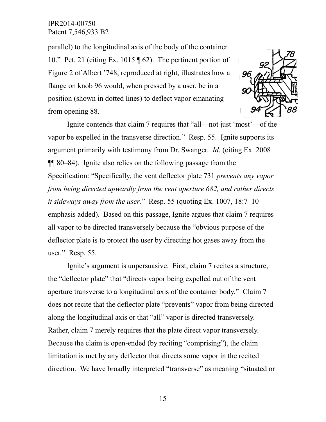parallel) to the longitudinal axis of the body of the container 10." Pet. 21 (citing Ex. 1015 ¶ 62). The pertinent portion of Figure 2 of Albert '748, reproduced at right, illustrates how a flange on knob 96 would, when pressed by a user, be in a position (shown in dotted lines) to deflect vapor emanating from opening 88.



Ignite contends that claim 7 requires that "all—not just 'most'—of the vapor be expelled in the transverse direction." Resp. 55. Ignite supports its argument primarily with testimony from Dr. Swanger. *Id*. (citing Ex. 2008 ¶¶ 80–84). Ignite also relies on the following passage from the Specification: "Specifically, the vent deflector plate 731 *prevents any vapor from being directed upwardly from the vent aperture 682, and rather directs it sideways away from the user*." Resp. 55 (quoting Ex. 1007, 18:7–10 emphasis added). Based on this passage, Ignite argues that claim 7 requires all vapor to be directed transversely because the "obvious purpose of the deflector plate is to protect the user by directing hot gases away from the user." Resp. 55.

Ignite's argument is unpersuasive. First, claim 7 recites a structure, the "deflector plate" that "directs vapor being expelled out of the vent aperture transverse to a longitudinal axis of the container body." Claim 7 does not recite that the deflector plate "prevents" vapor from being directed along the longitudinal axis or that "all" vapor is directed transversely. Rather, claim 7 merely requires that the plate direct vapor transversely. Because the claim is open-ended (by reciting "comprising"), the claim limitation is met by any deflector that directs some vapor in the recited direction. We have broadly interpreted "transverse" as meaning "situated or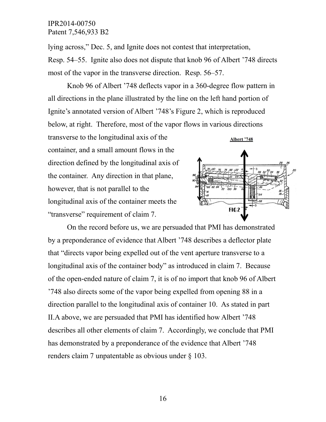lying across," Dec. 5, and Ignite does not contest that interpretation, Resp. 54–55. Ignite also does not dispute that knob 96 of Albert '748 directs most of the vapor in the transverse direction. Resp. 56–57.

Knob 96 of Albert '748 deflects vapor in a 360-degree flow pattern in all directions in the plane illustrated by the line on the left hand portion of Ignite's annotated version of Albert '748's Figure 2, which is reproduced below, at right. Therefore, most of the vapor flows in various directions

transverse to the longitudinal axis of the container, and a small amount flows in the direction defined by the longitudinal axis of the container. Any direction in that plane, however, that is not parallel to the longitudinal axis of the container meets the "transverse" requirement of claim 7.



On the record before us, we are persuaded that PMI has demonstrated by a preponderance of evidence that Albert '748 describes a deflector plate that "directs vapor being expelled out of the vent aperture transverse to a longitudinal axis of the container body" as introduced in claim 7. Because of the open-ended nature of claim 7, it is of no import that knob 96 of Albert '748 also directs some of the vapor being expelled from opening 88 in a direction parallel to the longitudinal axis of container 10. As stated in part II.A above, we are persuaded that PMI has identified how Albert '748 describes all other elements of claim 7. Accordingly, we conclude that PMI has demonstrated by a preponderance of the evidence that Albert '748 renders claim 7 unpatentable as obvious under § 103.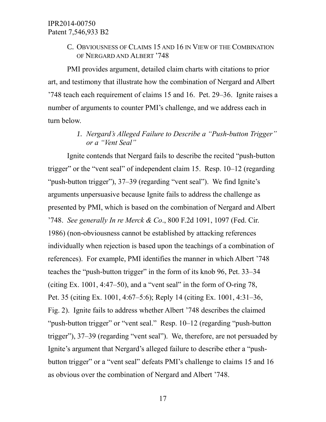C. OBVIOUSNESS OF CLAIMS 15 AND 16 IN VIEW OF THE COMBINATION OF NERGARD AND ALBERT '748

PMI provides argument, detailed claim charts with citations to prior art, and testimony that illustrate how the combination of Nergard and Albert '748 teach each requirement of claims 15 and 16. Pet. 29–36. Ignite raises a number of arguments to counter PMI's challenge, and we address each in turn below.

# *1. Nergard's Alleged Failure to Describe a "Push-button Trigger" or a "Vent Seal"*

Ignite contends that Nergard fails to describe the recited "push-button trigger" or the "vent seal" of independent claim 15. Resp. 10–12 (regarding "push-button trigger"), 37–39 (regarding "vent seal"). We find Ignite's arguments unpersuasive because Ignite fails to address the challenge as presented by PMI, which is based on the combination of Nergard and Albert '748. *See generally In re Merck & Co*., 800 F.2d 1091, 1097 (Fed. Cir. 1986) (non-obviousness cannot be established by attacking references individually when rejection is based upon the teachings of a combination of references). For example, PMI identifies the manner in which Albert '748 teaches the "push-button trigger" in the form of its knob 96, Pet. 33–34 (citing Ex. 1001, 4:47–50), and a "vent seal" in the form of O-ring 78, Pet. 35 (citing Ex. 1001, 4:67–5:6); Reply 14 (citing Ex. 1001, 4:31–36, Fig. 2). Ignite fails to address whether Albert '748 describes the claimed "push-button trigger" or "vent seal." Resp. 10–12 (regarding "push-button trigger"), 37–39 (regarding "vent seal"). We, therefore, are not persuaded by Ignite's argument that Nergard's alleged failure to describe ether a "pushbutton trigger" or a "vent seal" defeats PMI's challenge to claims 15 and 16 as obvious over the combination of Nergard and Albert '748.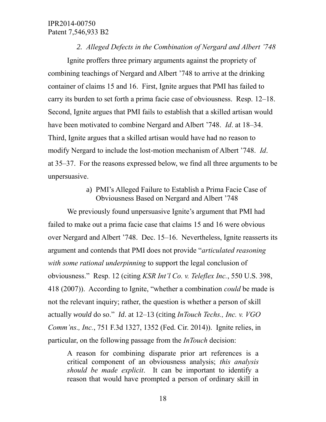#### *2. Alleged Defects in the Combination of Nergard and Albert '748*

Ignite proffers three primary arguments against the propriety of combining teachings of Nergard and Albert '748 to arrive at the drinking container of claims 15 and 16. First, Ignite argues that PMI has failed to carry its burden to set forth a prima facie case of obviousness. Resp. 12–18. Second, Ignite argues that PMI fails to establish that a skilled artisan would have been motivated to combine Nergard and Albert '748. *Id*. at 18–34. Third, Ignite argues that a skilled artisan would have had no reason to modify Nergard to include the lost-motion mechanism of Albert '748. *Id*. at 35–37. For the reasons expressed below, we find all three arguments to be unpersuasive.

### a) PMI's Alleged Failure to Establish a Prima Facie Case of Obviousness Based on Nergard and Albert '748

We previously found unpersuasive Ignite's argument that PMI had failed to make out a prima facie case that claims 15 and 16 were obvious over Nergard and Albert '748. Dec. 15–16. Nevertheless, Ignite reasserts its argument and contends that PMI does not provide "*articulated reasoning with some rational underpinning* to support the legal conclusion of obviousness." Resp. 12 (citing *KSR Int'l Co. v. Teleflex Inc.*, 550 U.S. 398, 418 (2007)). According to Ignite, "whether a combination *could* be made is not the relevant inquiry; rather, the question is whether a person of skill actually *would* do so." *Id*. at 12–13 (citing *InTouch Techs., Inc. v. VGO Comm'ns., Inc.*, 751 F.3d 1327, 1352 (Fed. Cir. 2014)). Ignite relies, in particular, on the following passage from the *InTouch* decision:

A reason for combining disparate prior art references is a critical component of an obviousness analysis; *this analysis should be made explicit*. It can be important to identify a reason that would have prompted a person of ordinary skill in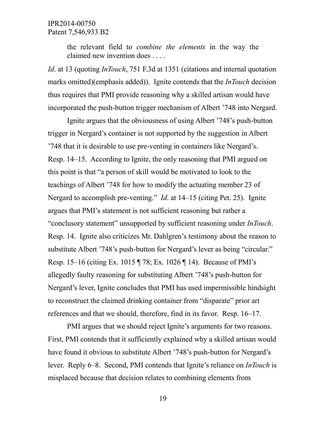the relevant field to *combine the elements* in the way the claimed new invention does . . . .

*Id*. at 13 (quoting *InTouch*, 751 F.3d at 1351 (citations and internal quotation marks omitted)(emphasis added)). Ignite contends that the *InTouch* decision thus requires that PMI provide reasoning why a skilled artisan would have incorporated the push-button trigger mechanism of Albert '748 into Nergard.

Ignite argues that the obviousness of using Albert '748's push-button trigger in Nergard's container is not supported by the suggestion in Albert '748 that it is desirable to use pre-venting in containers like Nergard's. Resp. 14–15. According to Ignite, the only reasoning that PMI argued on this point is that "a person of skill would be motivated to look to the teachings of Albert '748 for how to modify the actuating member 23 of Nergard to accomplish pre-venting." *Id*. at 14–15 (citing Pet. 25). Ignite argues that PMI's statement is not sufficient reasoning but rather a "conclusory statement" unsupported by sufficient reasoning under *InTouch*. Resp. 14. Ignite also criticizes Mr. Dahlgren's testimony about the reason to substitute Albert '748's push-button for Nergard's lever as being "circular." Resp. 15–16 (citing Ex. 1015 ¶ 78; Ex. 1026 ¶ 14). Because of PMI's allegedly faulty reasoning for substituting Albert '748's push-button for Nergard's lever, Ignite concludes that PMI has used impermissible hindsight to reconstruct the claimed drinking container from "disparate" prior art references and that we should, therefore, find in its favor. Resp. 16–17.

PMI argues that we should reject Ignite's arguments for two reasons. First, PMI contends that it sufficiently explained why a skilled artisan would have found it obvious to substitute Albert '748's push-button for Nergard's lever. Reply 6–8. Second, PMI contends that Ignite's reliance on *InTouch* is misplaced because that decision relates to combining elements from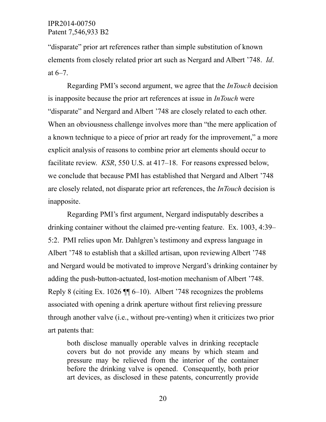"disparate" prior art references rather than simple substitution of known elements from closely related prior art such as Nergard and Albert '748. *Id*. at 6–7.

Regarding PMI's second argument, we agree that the *InTouch* decision is inapposite because the prior art references at issue in *InTouch* were "disparate" and Nergard and Albert '748 are closely related to each other. When an obviousness challenge involves more than "the mere application of a known technique to a piece of prior art ready for the improvement," a more explicit analysis of reasons to combine prior art elements should occur to facilitate review. *KSR*, 550 U.S. at 417–18. For reasons expressed below, we conclude that because PMI has established that Nergard and Albert '748 are closely related, not disparate prior art references, the *InTouch* decision is inapposite.

Regarding PMI's first argument, Nergard indisputably describes a drinking container without the claimed pre-venting feature. Ex. 1003, 4:39– 5:2. PMI relies upon Mr. Dahlgren's testimony and express language in Albert '748 to establish that a skilled artisan, upon reviewing Albert '748 and Nergard would be motivated to improve Nergard's drinking container by adding the push-button-actuated, lost-motion mechanism of Albert '748. Reply 8 (citing Ex. 1026 ¶¶ 6–10). Albert '748 recognizes the problems associated with opening a drink aperture without first relieving pressure through another valve (i.e., without pre-venting) when it criticizes two prior art patents that:

both disclose manually operable valves in drinking receptacle covers but do not provide any means by which steam and pressure may be relieved from the interior of the container before the drinking valve is opened. Consequently, both prior art devices, as disclosed in these patents, concurrently provide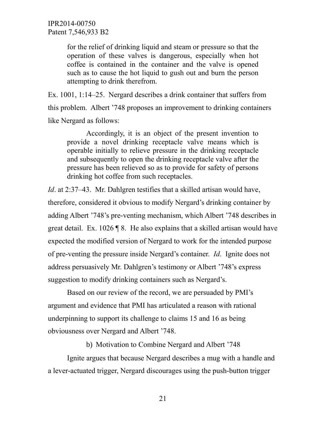> for the relief of drinking liquid and steam or pressure so that the operation of these valves is dangerous, especially when hot coffee is contained in the container and the valve is opened such as to cause the hot liquid to gush out and burn the person attempting to drink therefrom.

Ex. 1001, 1:14–25. Nergard describes a drink container that suffers from this problem. Albert '748 proposes an improvement to drinking containers like Nergard as follows:

Accordingly, it is an object of the present invention to provide a novel drinking receptacle valve means which is operable initially to relieve pressure in the drinking receptacle and subsequently to open the drinking receptacle valve after the pressure has been relieved so as to provide for safety of persons drinking hot coffee from such receptacles.

*Id.* at 2:37–43. Mr. Dahlgren testifies that a skilled artisan would have, therefore, considered it obvious to modify Nergard's drinking container by adding Albert '748's pre-venting mechanism, which Albert '748 describes in great detail. Ex. 1026 ¶ 8. He also explains that a skilled artisan would have expected the modified version of Nergard to work for the intended purpose of pre-venting the pressure inside Nergard's container. *Id*. Ignite does not address persuasively Mr. Dahlgren's testimony or Albert '748's express suggestion to modify drinking containers such as Nergard's.

Based on our review of the record, we are persuaded by PMI's argument and evidence that PMI has articulated a reason with rational underpinning to support its challenge to claims 15 and 16 as being obviousness over Nergard and Albert '748.

b) Motivation to Combine Nergard and Albert '748

Ignite argues that because Nergard describes a mug with a handle and a lever-actuated trigger, Nergard discourages using the push-button trigger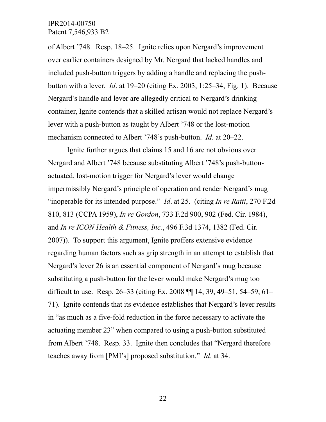of Albert '748. Resp. 18–25. Ignite relies upon Nergard's improvement over earlier containers designed by Mr. Nergard that lacked handles and included push-button triggers by adding a handle and replacing the pushbutton with a lever. *Id*. at 19–20 (citing Ex. 2003, 1:25–34, Fig. 1). Because Nergard's handle and lever are allegedly critical to Nergard's drinking container, Ignite contends that a skilled artisan would not replace Nergard's lever with a push-button as taught by Albert '748 or the lost-motion mechanism connected to Albert '748's push-button. *Id*. at 20–22.

Ignite further argues that claims 15 and 16 are not obvious over Nergard and Albert '748 because substituting Albert '748's push-buttonactuated, lost-motion trigger for Nergard's lever would change impermissibly Nergard's principle of operation and render Nergard's mug "inoperable for its intended purpose." *Id*. at 25. (citing *In re Ratti*, 270 F.2d 810, 813 (CCPA 1959), *In re Gordon*, 733 F.2d 900, 902 (Fed. Cir. 1984), and *In re ICON Health & Fitness, Inc.*, 496 F.3d 1374, 1382 (Fed. Cir. 2007)). To support this argument, Ignite proffers extensive evidence regarding human factors such as grip strength in an attempt to establish that Nergard's lever 26 is an essential component of Nergard's mug because substituting a push-button for the lever would make Nergard's mug too difficult to use. Resp. 26–33 (citing Ex. 2008 ¶¶ 14, 39, 49–51, 54–59, 61– 71). Ignite contends that its evidence establishes that Nergard's lever results in "as much as a five-fold reduction in the force necessary to activate the actuating member 23" when compared to using a push-button substituted from Albert '748. Resp. 33. Ignite then concludes that "Nergard therefore teaches away from [PMI's] proposed substitution." *Id*. at 34.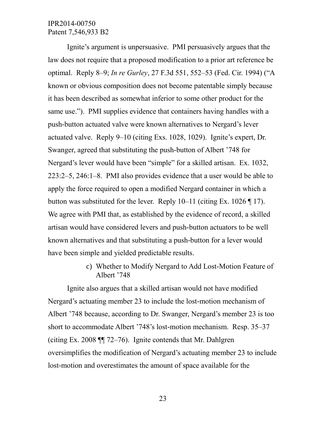Ignite's argument is unpersuasive. PMI persuasively argues that the law does not require that a proposed modification to a prior art reference be optimal. Reply 8–9; *In re Gurley*, 27 F.3d 551, 552–53 (Fed. Cir. 1994) ("A known or obvious composition does not become patentable simply because it has been described as somewhat inferior to some other product for the same use."). PMI supplies evidence that containers having handles with a push-button actuated valve were known alternatives to Nergard's lever actuated valve. Reply 9–10 (citing Exs. 1028, 1029). Ignite's expert, Dr. Swanger, agreed that substituting the push-button of Albert '748 for Nergard's lever would have been "simple" for a skilled artisan. Ex. 1032, 223:2–5, 246:1–8. PMI also provides evidence that a user would be able to apply the force required to open a modified Nergard container in which a button was substituted for the lever. Reply  $10-11$  (citing Ex.  $1026 \text{ T}$  17). We agree with PMI that, as established by the evidence of record, a skilled artisan would have considered levers and push-button actuators to be well known alternatives and that substituting a push-button for a lever would have been simple and yielded predictable results.

> c) Whether to Modify Nergard to Add Lost-Motion Feature of Albert '748

Ignite also argues that a skilled artisan would not have modified Nergard's actuating member 23 to include the lost-motion mechanism of Albert '748 because, according to Dr. Swanger, Nergard's member 23 is too short to accommodate Albert '748's lost-motion mechanism. Resp. 35–37 (citing Ex. 2008 ¶¶ 72–76). Ignite contends that Mr. Dahlgren oversimplifies the modification of Nergard's actuating member 23 to include lost-motion and overestimates the amount of space available for the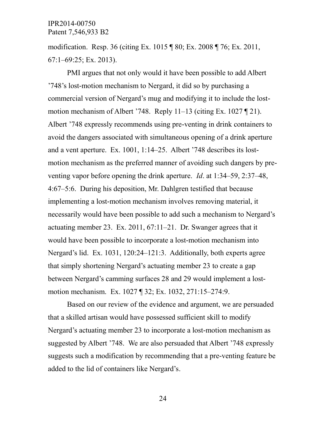modification. Resp. 36 (citing Ex. 1015 ¶ 80; Ex. 2008 ¶ 76; Ex. 2011, 67:1–69:25; Ex. 2013).

PMI argues that not only would it have been possible to add Albert '748's lost-motion mechanism to Nergard, it did so by purchasing a commercial version of Nergard's mug and modifying it to include the lostmotion mechanism of Albert '748. Reply 11–13 (citing Ex. 1027 ¶ 21). Albert '748 expressly recommends using pre-venting in drink containers to avoid the dangers associated with simultaneous opening of a drink aperture and a vent aperture. Ex. 1001, 1:14–25. Albert '748 describes its lostmotion mechanism as the preferred manner of avoiding such dangers by preventing vapor before opening the drink aperture. *Id*. at 1:34–59, 2:37–48, 4:67–5:6. During his deposition, Mr. Dahlgren testified that because implementing a lost-motion mechanism involves removing material, it necessarily would have been possible to add such a mechanism to Nergard's actuating member 23. Ex. 2011, 67:11–21. Dr. Swanger agrees that it would have been possible to incorporate a lost-motion mechanism into Nergard's lid. Ex. 1031, 120:24–121:3. Additionally, both experts agree that simply shortening Nergard's actuating member 23 to create a gap between Nergard's camming surfaces 28 and 29 would implement a lostmotion mechanism. Ex. 1027 ¶ 32; Ex. 1032, 271:15–274:9.

Based on our review of the evidence and argument, we are persuaded that a skilled artisan would have possessed sufficient skill to modify Nergard's actuating member 23 to incorporate a lost-motion mechanism as suggested by Albert '748. We are also persuaded that Albert '748 expressly suggests such a modification by recommending that a pre-venting feature be added to the lid of containers like Nergard's.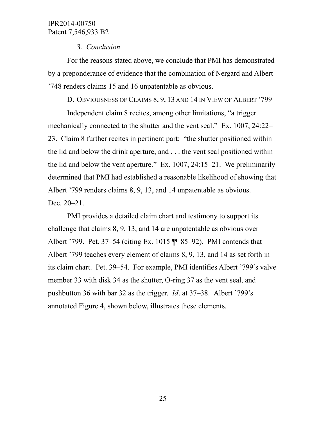### *3. Conclusion*

For the reasons stated above, we conclude that PMI has demonstrated by a preponderance of evidence that the combination of Nergard and Albert '748 renders claims 15 and 16 unpatentable as obvious.

D. OBVIOUSNESS OF CLAIMS 8, 9, 13 AND 14 IN VIEW OF ALBERT '799

Independent claim 8 recites, among other limitations, "a trigger mechanically connected to the shutter and the vent seal." Ex. 1007, 24:22– 23. Claim 8 further recites in pertinent part: "the shutter positioned within the lid and below the drink aperture, and . . . the vent seal positioned within the lid and below the vent aperture." Ex. 1007, 24:15–21. We preliminarily determined that PMI had established a reasonable likelihood of showing that Albert '799 renders claims 8, 9, 13, and 14 unpatentable as obvious. Dec. 20–21.

PMI provides a detailed claim chart and testimony to support its challenge that claims 8, 9, 13, and 14 are unpatentable as obvious over Albert '799. Pet. 37–54 (citing Ex. 1015 ¶¶ 85–92). PMI contends that Albert '799 teaches every element of claims 8, 9, 13, and 14 as set forth in its claim chart. Pet. 39–54. For example, PMI identifies Albert '799's valve member 33 with disk 34 as the shutter, O-ring 37 as the vent seal, and pushbutton 36 with bar 32 as the trigger. *Id*. at 37–38. Albert '799's annotated Figure 4, shown below, illustrates these elements.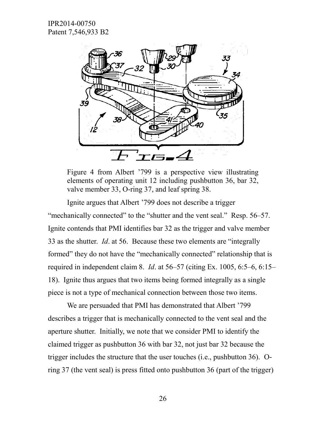

Figure 4 from Albert '799 is a perspective view illustrating elements of operating unit 12 including pushbutton 36, bar 32, valve member 33, O-ring 37, and leaf spring 38.

Ignite argues that Albert '799 does not describe a trigger "mechanically connected" to the "shutter and the vent seal." Resp. 56–57. Ignite contends that PMI identifies bar 32 as the trigger and valve member 33 as the shutter. *Id*. at 56. Because these two elements are "integrally formed" they do not have the "mechanically connected" relationship that is required in independent claim 8. *Id*. at 56–57 (citing Ex. 1005, 6:5–6, 6:15– 18). Ignite thus argues that two items being formed integrally as a single piece is not a type of mechanical connection between those two items.

We are persuaded that PMI has demonstrated that Albert '799 describes a trigger that is mechanically connected to the vent seal and the aperture shutter. Initially, we note that we consider PMI to identify the claimed trigger as pushbutton 36 with bar 32, not just bar 32 because the trigger includes the structure that the user touches (i.e., pushbutton 36). Oring 37 (the vent seal) is press fitted onto pushbutton 36 (part of the trigger)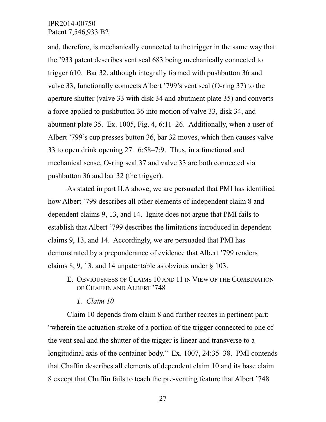and, therefore, is mechanically connected to the trigger in the same way that the '933 patent describes vent seal 683 being mechanically connected to trigger 610. Bar 32, although integrally formed with pushbutton 36 and valve 33, functionally connects Albert '799's vent seal (O-ring 37) to the aperture shutter (valve 33 with disk 34 and abutment plate 35) and converts a force applied to pushbutton 36 into motion of valve 33, disk 34, and abutment plate 35. Ex. 1005, Fig. 4, 6:11–26. Additionally, when a user of Albert '799's cup presses button 36, bar 32 moves, which then causes valve 33 to open drink opening 27. 6:58–7:9. Thus, in a functional and mechanical sense, O-ring seal 37 and valve 33 are both connected via pushbutton 36 and bar 32 (the trigger).

As stated in part II.A above, we are persuaded that PMI has identified how Albert '799 describes all other elements of independent claim 8 and dependent claims 9, 13, and 14. Ignite does not argue that PMI fails to establish that Albert '799 describes the limitations introduced in dependent claims 9, 13, and 14. Accordingly, we are persuaded that PMI has demonstrated by a preponderance of evidence that Albert '799 renders claims 8, 9, 13, and 14 unpatentable as obvious under § 103.

- E. OBVIOUSNESS OF CLAIMS 10 AND 11 IN VIEW OF THE COMBINATION OF CHAFFIN AND ALBERT '748
	- *1. Claim 10*

Claim 10 depends from claim 8 and further recites in pertinent part: "wherein the actuation stroke of a portion of the trigger connected to one of the vent seal and the shutter of the trigger is linear and transverse to a longitudinal axis of the container body." Ex. 1007, 24:35–38. PMI contends that Chaffin describes all elements of dependent claim 10 and its base claim 8 except that Chaffin fails to teach the pre-venting feature that Albert '748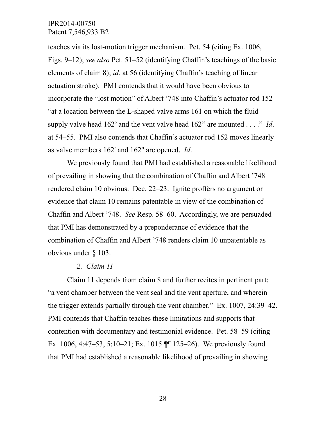teaches via its lost-motion trigger mechanism. Pet. 54 (citing Ex. 1006, Figs. 9–12); *see also* Pet. 51–52 (identifying Chaffin's teachings of the basic elements of claim 8); *id*. at 56 (identifying Chaffin's teaching of linear actuation stroke). PMI contends that it would have been obvious to incorporate the "lost motion" of Albert '748 into Chaffin's actuator rod 152 "at a location between the L-shaped valve arms 161 on which the fluid supply valve head 162' and the vent valve head 162" are mounted . . . ." *Id*. at 54–55. PMI also contends that Chaffin's actuator rod 152 moves linearly as valve members 162' and 162'' are opened. *Id*.

We previously found that PMI had established a reasonable likelihood of prevailing in showing that the combination of Chaffin and Albert '748 rendered claim 10 obvious. Dec. 22–23. Ignite proffers no argument or evidence that claim 10 remains patentable in view of the combination of Chaffin and Albert '748. *See* Resp. 58–60. Accordingly, we are persuaded that PMI has demonstrated by a preponderance of evidence that the combination of Chaffin and Albert '748 renders claim 10 unpatentable as obvious under § 103.

#### *2. Claim 11*

Claim 11 depends from claim 8 and further recites in pertinent part: "a vent chamber between the vent seal and the vent aperture, and wherein the trigger extends partially through the vent chamber." Ex. 1007, 24:39–42. PMI contends that Chaffin teaches these limitations and supports that contention with documentary and testimonial evidence. Pet. 58–59 (citing Ex. 1006, 4:47–53, 5:10–21; Ex. 1015 ¶¶ 125–26). We previously found that PMI had established a reasonable likelihood of prevailing in showing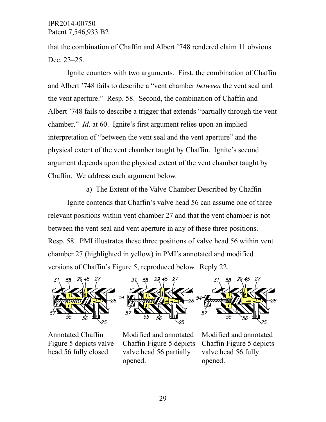that the combination of Chaffin and Albert '748 rendered claim 11 obvious. Dec. 23–25.

Ignite counters with two arguments. First, the combination of Chaffin and Albert '748 fails to describe a "vent chamber *between* the vent seal and the vent aperture." Resp. 58. Second, the combination of Chaffin and Albert '748 fails to describe a trigger that extends "partially through the vent chamber." *Id*. at 60. Ignite's first argument relies upon an implied interpretation of "between the vent seal and the vent aperture" and the physical extent of the vent chamber taught by Chaffin. Ignite's second argument depends upon the physical extent of the vent chamber taught by Chaffin. We address each argument below.

a) The Extent of the Valve Chamber Described by Chaffin Ignite contends that Chaffin's valve head 56 can assume one of three relevant positions within vent chamber 27 and that the vent chamber is not between the vent seal and vent aperture in any of these three positions. Resp. 58. PMI illustrates these three positions of valve head 56 within vent chamber 27 (highlighted in yellow) in PMI's annotated and modified versions of Chaffin's Figure 5, reproduced below. Reply 22.



Annotated Chaffin Figure 5 depicts valve head 56 fully closed.

Modified and annotated Chaffin Figure 5 depicts valve head 56 partially opened.

Modified and annotated Chaffin Figure 5 depicts valve head 56 fully opened.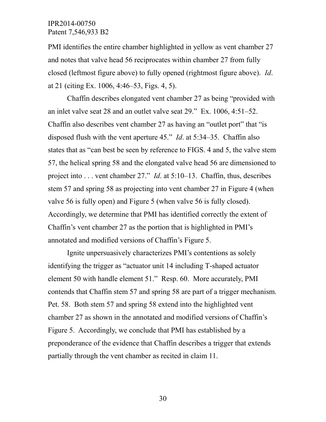PMI identifies the entire chamber highlighted in yellow as vent chamber 27 and notes that valve head 56 reciprocates within chamber 27 from fully closed (leftmost figure above) to fully opened (rightmost figure above). *Id*. at 21 (citing Ex. 1006, 4:46–53, Figs. 4, 5).

Chaffin describes elongated vent chamber 27 as being "provided with an inlet valve seat 28 and an outlet valve seat 29." Ex. 1006, 4:51–52. Chaffin also describes vent chamber 27 as having an "outlet port" that "is disposed flush with the vent aperture 45." *Id*. at 5:34–35. Chaffin also states that as "can best be seen by reference to FIGS. 4 and 5, the valve stem 57, the helical spring 58 and the elongated valve head 56 are dimensioned to project into . . . vent chamber 27." *Id*. at 5:10–13. Chaffin, thus, describes stem 57 and spring 58 as projecting into vent chamber 27 in Figure 4 (when valve 56 is fully open) and Figure 5 (when valve 56 is fully closed). Accordingly, we determine that PMI has identified correctly the extent of Chaffin's vent chamber 27 as the portion that is highlighted in PMI's annotated and modified versions of Chaffin's Figure 5.

Ignite unpersuasively characterizes PMI's contentions as solely identifying the trigger as "actuator unit 14 including T-shaped actuator element 50 with handle element 51." Resp. 60. More accurately, PMI contends that Chaffin stem 57 and spring 58 are part of a trigger mechanism. Pet. 58. Both stem 57 and spring 58 extend into the highlighted vent chamber 27 as shown in the annotated and modified versions of Chaffin's Figure 5. Accordingly, we conclude that PMI has established by a preponderance of the evidence that Chaffin describes a trigger that extends partially through the vent chamber as recited in claim 11.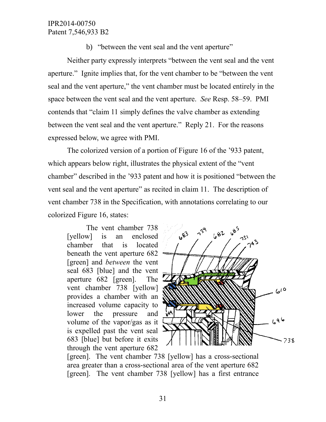b) "between the vent seal and the vent aperture"

Neither party expressly interprets "between the vent seal and the vent aperture." Ignite implies that, for the vent chamber to be "between the vent seal and the vent aperture," the vent chamber must be located entirely in the space between the vent seal and the vent aperture. *See* Resp. 58–59. PMI contends that "claim 11 simply defines the valve chamber as extending between the vent seal and the vent aperture." Reply 21. For the reasons expressed below, we agree with PMI.

The colorized version of a portion of Figure 16 of the '933 patent, which appears below right, illustrates the physical extent of the "vent chamber" described in the '933 patent and how it is positioned "between the vent seal and the vent aperture" as recited in claim 11. The description of vent chamber 738 in the Specification, with annotations correlating to our colorized Figure 16, states:

The vent chamber 738 [yellow] is an enclosed chamber that is located beneath the vent aperture 682 [green] and *between* the vent seal 683 [blue] and the vent aperture 682 [green]. The vent chamber 738 [yellow] provides a chamber with an increased volume capacity to lower the pressure and volume of the vapor/gas as it is expelled past the vent seal 683 [blue] but before it exits through the vent aperture 682



[green]. The vent chamber 738 [yellow] has a cross-sectional area greater than a cross-sectional area of the vent aperture 682 [green]. The vent chamber 738 [yellow] has a first entrance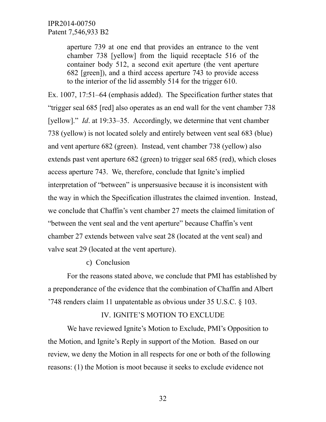aperture 739 at one end that provides an entrance to the vent chamber 738 [yellow] from the liquid receptacle 516 of the container body 512, a second exit aperture (the vent aperture 682 [green]), and a third access aperture 743 to provide access to the interior of the lid assembly 514 for the trigger 610.

Ex. 1007, 17:51–64 (emphasis added). The Specification further states that "trigger seal 685 [red] also operates as an end wall for the vent chamber 738 [yellow]." *Id.* at 19:33–35. Accordingly, we determine that vent chamber 738 (yellow) is not located solely and entirely between vent seal 683 (blue) and vent aperture 682 (green). Instead, vent chamber 738 (yellow) also extends past vent aperture 682 (green) to trigger seal 685 (red), which closes access aperture 743. We, therefore, conclude that Ignite's implied interpretation of "between" is unpersuasive because it is inconsistent with the way in which the Specification illustrates the claimed invention. Instead, we conclude that Chaffin's vent chamber 27 meets the claimed limitation of "between the vent seal and the vent aperture" because Chaffin's vent chamber 27 extends between valve seat 28 (located at the vent seal) and valve seat 29 (located at the vent aperture).

#### c) Conclusion

For the reasons stated above, we conclude that PMI has established by a preponderance of the evidence that the combination of Chaffin and Albert '748 renders claim 11 unpatentable as obvious under 35 U.S.C. § 103.

# IV. IGNITE'S MOTION TO EXCLUDE

We have reviewed Ignite's Motion to Exclude, PMI's Opposition to the Motion, and Ignite's Reply in support of the Motion. Based on our review, we deny the Motion in all respects for one or both of the following reasons: (1) the Motion is moot because it seeks to exclude evidence not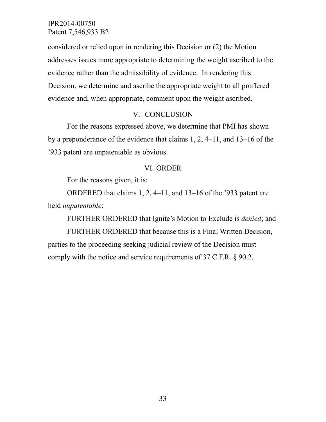considered or relied upon in rendering this Decision or (2) the Motion addresses issues more appropriate to determining the weight ascribed to the evidence rather than the admissibility of evidence. In rendering this Decision, we determine and ascribe the appropriate weight to all proffered evidence and, when appropriate, comment upon the weight ascribed.

### V. CONCLUSION

For the reasons expressed above, we determine that PMI has shown by a preponderance of the evidence that claims 1, 2, 4–11, and 13–16 of the '933 patent are unpatentable as obvious.

#### VI. ORDER

For the reasons given, it is:

ORDERED that claims 1, 2, 4–11, and 13–16 of the '933 patent are held *unpatentable*;

FURTHER ORDERED that Ignite's Motion to Exclude is *denied*; and

FURTHER ORDERED that because this is a Final Written Decision, parties to the proceeding seeking judicial review of the Decision must comply with the notice and service requirements of 37 C.F.R. § 90.2.